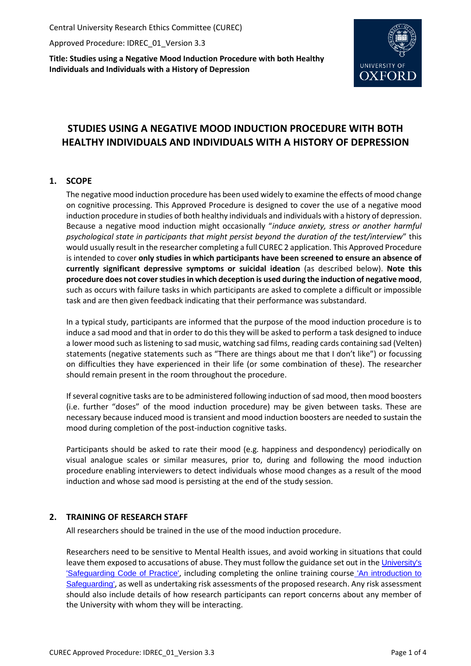Central University Research Ethics Committee (CUREC)

Approved Procedure: IDREC\_01\_Version 3.3

**Title: Studies using a Negative Mood Induction Procedure with both Healthy Individuals and Individuals with a History of Depression**



# **STUDIES USING A NEGATIVE MOOD INDUCTION PROCEDURE WITH BOTH HEALTHY INDIVIDUALS AND INDIVIDUALS WITH A HISTORY OF DEPRESSION**

# **1. SCOPE**

The negative mood induction procedure has been used widely to examine the effects of mood change on cognitive processing. This Approved Procedure is designed to cover the use of a negative mood induction procedure in studies of both healthy individuals and individuals with a history of depression. Because a negative mood induction might occasionally "*induce anxiety, stress or another harmful psychological state in participants that might persist beyond the duration of the test/interview*" this would usually result in the researcher completing a full CUREC 2 application. This Approved Procedure is intended to cover **only studies in which participants have been screened to ensure an absence of currently significant depressive symptoms or suicidal ideation** (as described below). **Note this procedure does not cover studies in which deception is used during the induction of negative mood**, such as occurs with failure tasks in which participants are asked to complete a difficult or impossible task and are then given feedback indicating that their performance was substandard.

In a typical study, participants are informed that the purpose of the mood induction procedure is to induce a sad mood and that in order to do this they will be asked to perform a task designed to induce a lower mood such as listening to sad music, watching sad films, reading cards containing sad (Velten) statements (negative statements such as "There are things about me that I don't like") or focussing on difficulties they have experienced in their life (or some combination of these). The researcher should remain present in the room throughout the procedure.

If several cognitive tasks are to be administered following induction of sad mood, then mood boosters (i.e. further "doses" of the mood induction procedure) may be given between tasks. These are necessary because induced mood is transient and mood induction boosters are needed to sustain the mood during completion of the post-induction cognitive tasks.

Participants should be asked to rate their mood (e.g. happiness and despondency) periodically on visual analogue scales or similar measures, prior to, during and following the mood induction procedure enabling interviewers to detect individuals whose mood changes as a result of the mood induction and whose sad mood is persisting at the end of the study session.

# **2. TRAINING OF RESEARCH STAFF**

All researchers should be trained in the use of the mood induction procedure.

Researchers need to be sensitive to Mental Health issues, and avoid working in situations that could leave them exposed to accusations of abuse. They must follow the guidance set out in the [University's](https://www.admin.ox.ac.uk/personnel/cops/safeguarding/)  ['Safeguarding Code of Practice'](https://www.admin.ox.ac.uk/personnel/cops/safeguarding/), including completing the online training course ['An introduction to](https://www.admin.ox.ac.uk/personnel/cops/safeguarding/safetrain/)  [Safeguarding'](https://www.admin.ox.ac.uk/personnel/cops/safeguarding/safetrain/), as well as undertaking risk assessments of the proposed research. Any risk assessment should also include details of how research participants can report concerns about any member of the University with whom they will be interacting.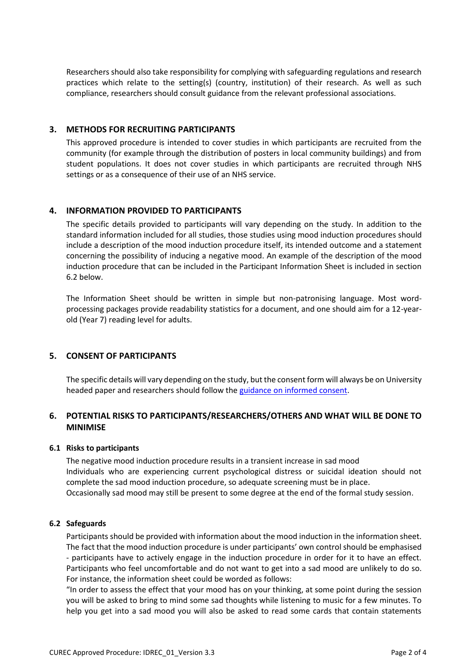Researchers should also take responsibility for complying with safeguarding regulations and research practices which relate to the setting(s) (country, institution) of their research. As well as such compliance, researchers should consult guidance from the relevant professional associations.

## **3. METHODS FOR RECRUITING PARTICIPANTS**

This approved procedure is intended to cover studies in which participants are recruited from the community (for example through the distribution of posters in local community buildings) and from student populations. It does not cover studies in which participants are recruited through NHS settings or as a consequence of their use of an NHS service.

### **4. INFORMATION PROVIDED TO PARTICIPANTS**

The specific details provided to participants will vary depending on the study. In addition to the standard information included for all studies, those studies using mood induction procedures should include a description of the mood induction procedure itself, its intended outcome and a statement concerning the possibility of inducing a negative mood. An example of the description of the mood induction procedure that can be included in the Participant Information Sheet is included in section 6.2 below.

The Information Sheet should be written in simple but non-patronising language. Most wordprocessing packages provide readability statistics for a document, and one should aim for a 12-yearold (Year 7) reading level for adults.

### **5. CONSENT OF PARTICIPANTS**

The specific details will vary depending on the study, but the consent form will always be on University headed paper and researchers should follow the guidance [on informed consent.](http://researchsupport.admin.ox.ac.uk/governance/ethics/resources/consent)

# **6. POTENTIAL RISKS TO PARTICIPANTS/RESEARCHERS/OTHERS AND WHAT WILL BE DONE TO MINIMISE**

### **6.1 Risks to participants**

The negative mood induction procedure results in a transient increase in sad mood Individuals who are experiencing current psychological distress or suicidal ideation should not complete the sad mood induction procedure, so adequate screening must be in place. Occasionally sad mood may still be present to some degree at the end of the formal study session.

### **6.2 Safeguards**

Participants should be provided with information about the mood induction in the information sheet. The fact that the mood induction procedure is under participants' own control should be emphasised - participants have to actively engage in the induction procedure in order for it to have an effect. Participants who feel uncomfortable and do not want to get into a sad mood are unlikely to do so. For instance, the information sheet could be worded as follows:

"In order to assess the effect that your mood has on your thinking, at some point during the session you will be asked to bring to mind some sad thoughts while listening to music for a few minutes. To help you get into a sad mood you will also be asked to read some cards that contain statements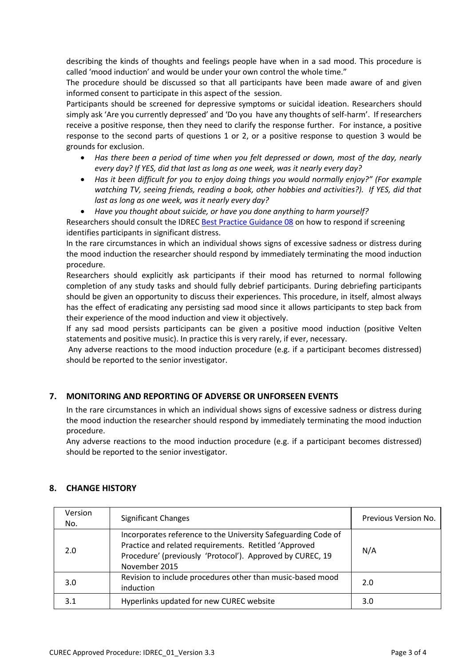describing the kinds of thoughts and feelings people have when in a sad mood. This procedure is called 'mood induction' and would be under your own control the whole time."

The procedure should be discussed so that all participants have been made aware of and given informed consent to participate in this aspect of the session.

Participants should be screened for depressive symptoms or suicidal ideation. Researchers should simply ask 'Are you currently depressed' and 'Do you have any thoughts of self-harm'. If researchers receive a positive response, then they need to clarify the response further. For instance, a positive response to the second parts of questions 1 or 2, or a positive response to question 3 would be grounds for exclusion.

- *Has there been a period of time when you felt depressed or down, most of the day, nearly every day? If YES, did that last as long as one week, was it nearly every day?*
- *Has it been difficult for you to enjoy doing things you would normally enjoy?" (For example watching TV, seeing friends, reading a book, other hobbies and activities?). If YES, did that last as long as one week, was it nearly every day?*
- *Have you thought about suicide, or have you done anything to harm yourself?*

Researchers should consult the IDRE[C Best Practice Guidance 08](http://researchsupport.admin.ox.ac.uk/governance/ethics/resources/bpg) on how to respond if screening identifies participants in significant distress.

In the rare circumstances in which an individual shows signs of excessive sadness or distress during the mood induction the researcher should respond by immediately terminating the mood induction procedure.

Researchers should explicitly ask participants if their mood has returned to normal following completion of any study tasks and should fully debrief participants. During debriefing participants should be given an opportunity to discuss their experiences. This procedure, in itself, almost always has the effect of eradicating any persisting sad mood since it allows participants to step back from their experience of the mood induction and view it objectively.

If any sad mood persists participants can be given a positive mood induction (positive Velten statements and positive music). In practice this is very rarely, if ever, necessary.

Any adverse reactions to the mood induction procedure (e.g. if a participant becomes distressed) should be reported to the senior investigator.

# **7. MONITORING AND REPORTING OF ADVERSE OR UNFORSEEN EVENTS**

In the rare circumstances in which an individual shows signs of excessive sadness or distress during the mood induction the researcher should respond by immediately terminating the mood induction procedure.

Any adverse reactions to the mood induction procedure (e.g. if a participant becomes distressed) should be reported to the senior investigator.

| Version<br>No. | <b>Significant Changes</b>                                                                                                                                                                           | Previous Version No. |
|----------------|------------------------------------------------------------------------------------------------------------------------------------------------------------------------------------------------------|----------------------|
| 2.0            | Incorporates reference to the University Safeguarding Code of<br>Practice and related requirements. Retitled 'Approved<br>Procedure' (previously 'Protocol'). Approved by CUREC, 19<br>November 2015 | N/A                  |
| 3.0            | Revision to include procedures other than music-based mood<br>induction                                                                                                                              | 2.0                  |
| 3.1            | Hyperlinks updated for new CUREC website                                                                                                                                                             | 3.0                  |

# **8. CHANGE HISTORY**